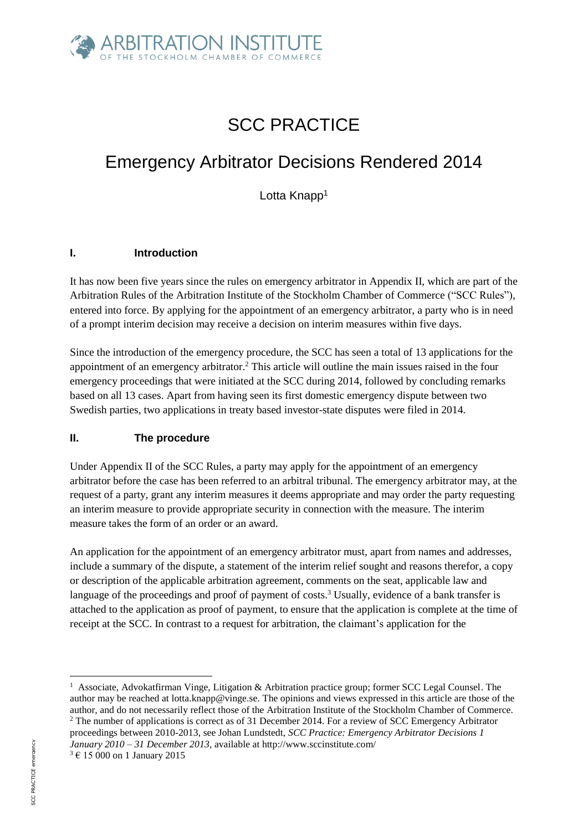

# SCC PRACTICE

## Emergency Arbitrator Decisions Rendered 2014

Lotta Knapp<sup>1</sup>

#### **I. Introduction**

It has now been five years since the rules on emergency arbitrator in Appendix II, which are part of the Arbitration Rules of the Arbitration Institute of the Stockholm Chamber of Commerce ("SCC Rules"), entered into force. By applying for the appointment of an emergency arbitrator, a party who is in need of a prompt interim decision may receive a decision on interim measures within five days.

Since the introduction of the emergency procedure, the SCC has seen a total of 13 applications for the appointment of an emergency arbitrator. <sup>2</sup> This article will outline the main issues raised in the four emergency proceedings that were initiated at the SCC during 2014, followed by concluding remarks based on all 13 cases. Apart from having seen its first domestic emergency dispute between two Swedish parties, two applications in treaty based investor-state disputes were filed in 2014.

#### **II. The procedure**

Under Appendix II of the SCC Rules, a party may apply for the appointment of an emergency arbitrator before the case has been referred to an arbitral tribunal. The emergency arbitrator may, at the request of a party, grant any interim measures it deems appropriate and may order the party requesting an interim measure to provide appropriate security in connection with the measure. The interim measure takes the form of an order or an award.

An application for the appointment of an emergency arbitrator must, apart from names and addresses, include a summary of the dispute, a statement of the interim relief sought and reasons therefor, a copy or description of the applicable arbitration agreement, comments on the seat, applicable law and language of the proceedings and proof of payment of costs.<sup>3</sup> Usually, evidence of a bank transfer is attached to the application as proof of payment, to ensure that the application is complete at the time of receipt at the SCC. In contrast to a request for arbitration, the claimant's application for the

<sup>1</sup> Associate, Advokatfirman Vinge, Litigation & Arbitration practice group; former SCC Legal Counsel. The author may be reached at lotta.knapp@vinge.se. The opinions and views expressed in this article are those of the author, and do not necessarily reflect those of the Arbitration Institute of the Stockholm Chamber of Commerce.

<sup>2</sup> The number of applications is correct as of 31 December 2014. For a review of SCC Emergency Arbitrator proceedings between 2010-2013, see Johan Lundstedt, *SCC Practice: Emergency Arbitrator Decisions 1 January 2010 – 31 December 2013,* available at http://www.sccinstitute.com/

<sup>3</sup> € 15 000 on 1 January 2015

**.**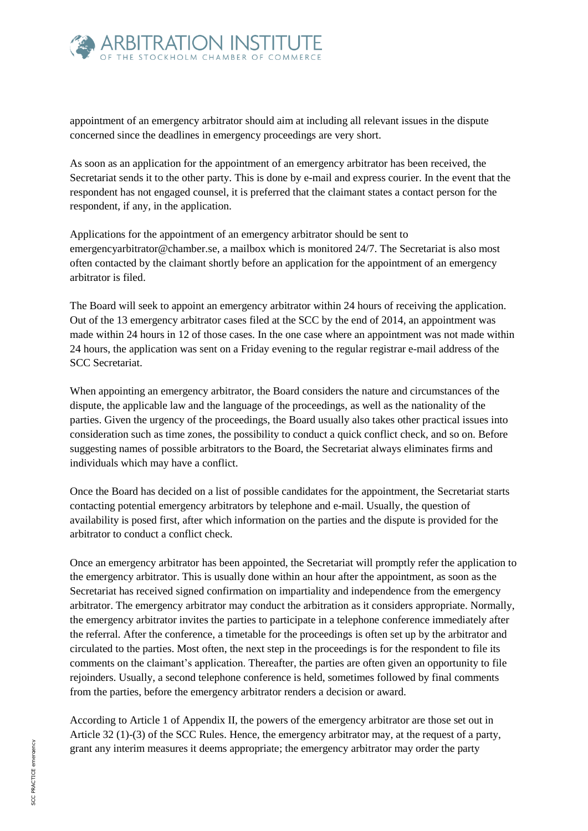

appointment of an emergency arbitrator should aim at including all relevant issues in the dispute concerned since the deadlines in emergency proceedings are very short.

As soon as an application for the appointment of an emergency arbitrator has been received, the Secretariat sends it to the other party. This is done by e-mail and express courier. In the event that the respondent has not engaged counsel, it is preferred that the claimant states a contact person for the respondent, if any, in the application.

Applications for the appointment of an emergency arbitrator should be sent to emergencyarbitrator@chamber.se, a mailbox which is monitored 24/7. The Secretariat is also most often contacted by the claimant shortly before an application for the appointment of an emergency arbitrator is filed.

The Board will seek to appoint an emergency arbitrator within 24 hours of receiving the application. Out of the 13 emergency arbitrator cases filed at the SCC by the end of 2014, an appointment was made within 24 hours in 12 of those cases. In the one case where an appointment was not made within 24 hours, the application was sent on a Friday evening to the regular registrar e-mail address of the SCC Secretariat.

When appointing an emergency arbitrator, the Board considers the nature and circumstances of the dispute, the applicable law and the language of the proceedings, as well as the nationality of the parties. Given the urgency of the proceedings, the Board usually also takes other practical issues into consideration such as time zones, the possibility to conduct a quick conflict check, and so on. Before suggesting names of possible arbitrators to the Board, the Secretariat always eliminates firms and individuals which may have a conflict.

Once the Board has decided on a list of possible candidates for the appointment, the Secretariat starts contacting potential emergency arbitrators by telephone and e-mail. Usually, the question of availability is posed first, after which information on the parties and the dispute is provided for the arbitrator to conduct a conflict check.

Once an emergency arbitrator has been appointed, the Secretariat will promptly refer the application to the emergency arbitrator. This is usually done within an hour after the appointment, as soon as the Secretariat has received signed confirmation on impartiality and independence from the emergency arbitrator. The emergency arbitrator may conduct the arbitration as it considers appropriate. Normally, the emergency arbitrator invites the parties to participate in a telephone conference immediately after the referral. After the conference, a timetable for the proceedings is often set up by the arbitrator and circulated to the parties. Most often, the next step in the proceedings is for the respondent to file its comments on the claimant's application. Thereafter, the parties are often given an opportunity to file rejoinders. Usually, a second telephone conference is held, sometimes followed by final comments from the parties, before the emergency arbitrator renders a decision or award.

According to Article 1 of Appendix II, the powers of the emergency arbitrator are those set out in Article 32 (1)-(3) of the SCC Rules. Hence, the emergency arbitrator may, at the request of a party, grant any interim measures it deems appropriate; the emergency arbitrator may order the party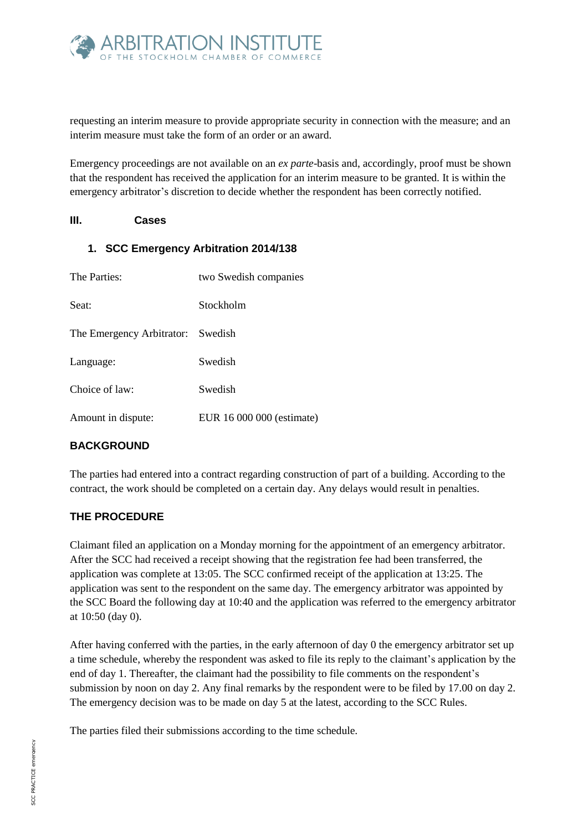

requesting an interim measure to provide appropriate security in connection with the measure; and an interim measure must take the form of an order or an award.

Emergency proceedings are not available on an *ex parte*-basis and, accordingly, proof must be shown that the respondent has received the application for an interim measure to be granted. It is within the emergency arbitrator's discretion to decide whether the respondent has been correctly notified.

#### **III. Cases**

#### **1. SCC Emergency Arbitration 2014/138**

| The Parties:                      | two Swedish companies     |
|-----------------------------------|---------------------------|
| Seat:                             | Stockholm                 |
| The Emergency Arbitrator: Swedish |                           |
| Language:                         | Swedish                   |
| Choice of law:                    | Swedish                   |
| Amount in dispute:                | EUR 16 000 000 (estimate) |

## **BACKGROUND**

The parties had entered into a contract regarding construction of part of a building. According to the contract, the work should be completed on a certain day. Any delays would result in penalties.

## **THE PROCEDURE**

Claimant filed an application on a Monday morning for the appointment of an emergency arbitrator. After the SCC had received a receipt showing that the registration fee had been transferred, the application was complete at 13:05. The SCC confirmed receipt of the application at 13:25. The application was sent to the respondent on the same day. The emergency arbitrator was appointed by the SCC Board the following day at 10:40 and the application was referred to the emergency arbitrator at 10:50 (day 0).

After having conferred with the parties, in the early afternoon of day 0 the emergency arbitrator set up a time schedule, whereby the respondent was asked to file its reply to the claimant's application by the end of day 1. Thereafter, the claimant had the possibility to file comments on the respondent's submission by noon on day 2. Any final remarks by the respondent were to be filed by 17.00 on day 2. The emergency decision was to be made on day 5 at the latest, according to the SCC Rules.

The parties filed their submissions according to the time schedule.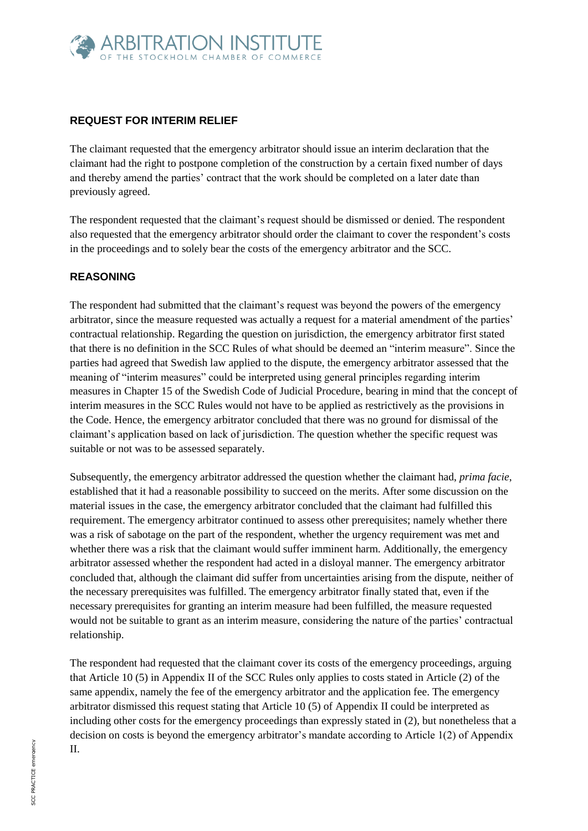

## **REQUEST FOR INTERIM RELIEF**

The claimant requested that the emergency arbitrator should issue an interim declaration that the claimant had the right to postpone completion of the construction by a certain fixed number of days and thereby amend the parties' contract that the work should be completed on a later date than previously agreed.

The respondent requested that the claimant's request should be dismissed or denied. The respondent also requested that the emergency arbitrator should order the claimant to cover the respondent's costs in the proceedings and to solely bear the costs of the emergency arbitrator and the SCC.

#### **REASONING**

The respondent had submitted that the claimant's request was beyond the powers of the emergency arbitrator, since the measure requested was actually a request for a material amendment of the parties' contractual relationship. Regarding the question on jurisdiction, the emergency arbitrator first stated that there is no definition in the SCC Rules of what should be deemed an "interim measure". Since the parties had agreed that Swedish law applied to the dispute, the emergency arbitrator assessed that the meaning of "interim measures" could be interpreted using general principles regarding interim measures in Chapter 15 of the Swedish Code of Judicial Procedure, bearing in mind that the concept of interim measures in the SCC Rules would not have to be applied as restrictively as the provisions in the Code. Hence, the emergency arbitrator concluded that there was no ground for dismissal of the claimant's application based on lack of jurisdiction. The question whether the specific request was suitable or not was to be assessed separately.

Subsequently, the emergency arbitrator addressed the question whether the claimant had, *prima facie*, established that it had a reasonable possibility to succeed on the merits. After some discussion on the material issues in the case, the emergency arbitrator concluded that the claimant had fulfilled this requirement. The emergency arbitrator continued to assess other prerequisites; namely whether there was a risk of sabotage on the part of the respondent, whether the urgency requirement was met and whether there was a risk that the claimant would suffer imminent harm. Additionally, the emergency arbitrator assessed whether the respondent had acted in a disloyal manner. The emergency arbitrator concluded that, although the claimant did suffer from uncertainties arising from the dispute, neither of the necessary prerequisites was fulfilled. The emergency arbitrator finally stated that, even if the necessary prerequisites for granting an interim measure had been fulfilled, the measure requested would not be suitable to grant as an interim measure, considering the nature of the parties' contractual relationship.

The respondent had requested that the claimant cover its costs of the emergency proceedings, arguing that Article 10 (5) in Appendix II of the SCC Rules only applies to costs stated in Article (2) of the same appendix, namely the fee of the emergency arbitrator and the application fee. The emergency arbitrator dismissed this request stating that Article 10 (5) of Appendix II could be interpreted as including other costs for the emergency proceedings than expressly stated in (2), but nonetheless that a decision on costs is beyond the emergency arbitrator's mandate according to Article 1(2) of Appendix II.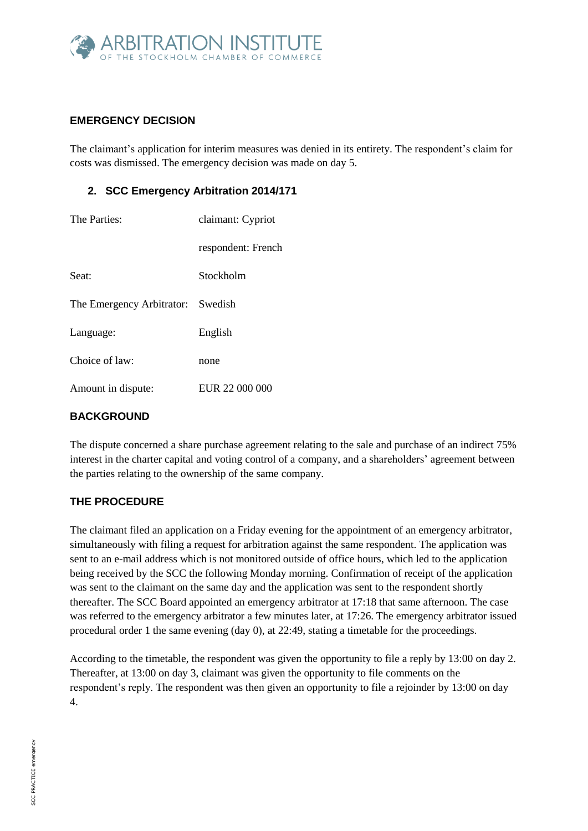

## **EMERGENCY DECISION**

The claimant's application for interim measures was denied in its entirety. The respondent's claim for costs was dismissed. The emergency decision was made on day 5.

## **2. SCC Emergency Arbitration 2014/171**

| The Parties:                      | claimant: Cypriot  |
|-----------------------------------|--------------------|
|                                   | respondent: French |
| Seat:                             | Stockholm          |
| The Emergency Arbitrator: Swedish |                    |
| Language:                         | English            |
| Choice of law:                    | none               |
| Amount in dispute:                | EUR 22 000 000     |
|                                   |                    |

## **BACKGROUND**

The dispute concerned a share purchase agreement relating to the sale and purchase of an indirect 75% interest in the charter capital and voting control of a company, and a shareholders' agreement between the parties relating to the ownership of the same company.

## **THE PROCEDURE**

The claimant filed an application on a Friday evening for the appointment of an emergency arbitrator, simultaneously with filing a request for arbitration against the same respondent. The application was sent to an e-mail address which is not monitored outside of office hours, which led to the application being received by the SCC the following Monday morning. Confirmation of receipt of the application was sent to the claimant on the same day and the application was sent to the respondent shortly thereafter. The SCC Board appointed an emergency arbitrator at 17:18 that same afternoon. The case was referred to the emergency arbitrator a few minutes later, at 17:26. The emergency arbitrator issued procedural order 1 the same evening (day 0), at 22:49, stating a timetable for the proceedings.

According to the timetable, the respondent was given the opportunity to file a reply by 13:00 on day 2. Thereafter, at 13:00 on day 3, claimant was given the opportunity to file comments on the respondent's reply. The respondent was then given an opportunity to file a rejoinder by 13:00 on day 4.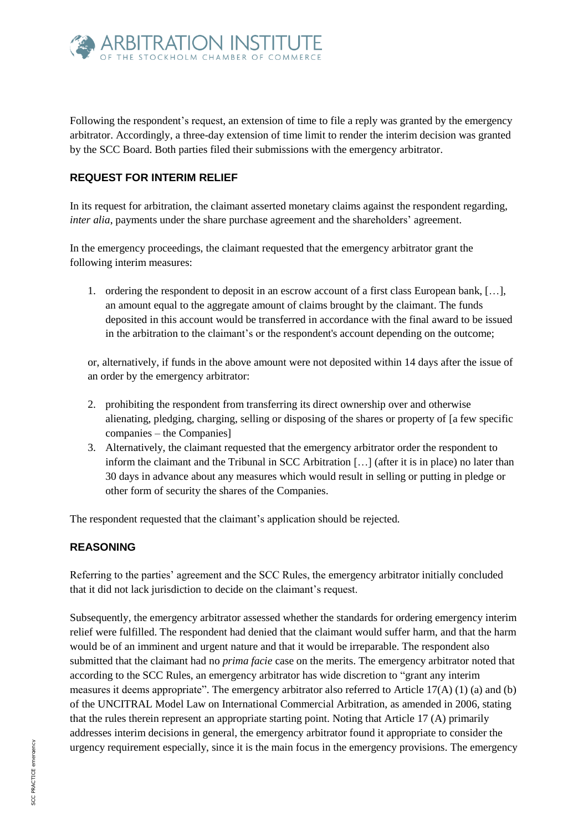

Following the respondent's request, an extension of time to file a reply was granted by the emergency arbitrator. Accordingly, a three-day extension of time limit to render the interim decision was granted by the SCC Board. Both parties filed their submissions with the emergency arbitrator.

#### **REQUEST FOR INTERIM RELIEF**

In its request for arbitration, the claimant asserted monetary claims against the respondent regarding, *inter alia*, payments under the share purchase agreement and the shareholders' agreement.

In the emergency proceedings, the claimant requested that the emergency arbitrator grant the following interim measures:

1. ordering the respondent to deposit in an escrow account of a first class European bank, […], an amount equal to the aggregate amount of claims brought by the claimant. The funds deposited in this account would be transferred in accordance with the final award to be issued in the arbitration to the claimant's or the respondent's account depending on the outcome;

or, alternatively, if funds in the above amount were not deposited within 14 days after the issue of an order by the emergency arbitrator:

- 2. prohibiting the respondent from transferring its direct ownership over and otherwise alienating, pledging, charging, selling or disposing of the shares or property of [a few specific companies – the Companies]
- 3. Alternatively, the claimant requested that the emergency arbitrator order the respondent to inform the claimant and the Tribunal in SCC Arbitration […] (after it is in place) no later than 30 days in advance about any measures which would result in selling or putting in pledge or other form of security the shares of the Companies.

The respondent requested that the claimant's application should be rejected.

#### **REASONING**

Referring to the parties' agreement and the SCC Rules, the emergency arbitrator initially concluded that it did not lack jurisdiction to decide on the claimant's request.

Subsequently, the emergency arbitrator assessed whether the standards for ordering emergency interim relief were fulfilled. The respondent had denied that the claimant would suffer harm, and that the harm would be of an imminent and urgent nature and that it would be irreparable. The respondent also submitted that the claimant had no *prima facie* case on the merits. The emergency arbitrator noted that according to the SCC Rules, an emergency arbitrator has wide discretion to "grant any interim measures it deems appropriate". The emergency arbitrator also referred to Article 17(A) (1) (a) and (b) of the UNCITRAL Model Law on International Commercial Arbitration, as amended in 2006, stating that the rules therein represent an appropriate starting point. Noting that Article 17 (A) primarily addresses interim decisions in general, the emergency arbitrator found it appropriate to consider the urgency requirement especially, since it is the main focus in the emergency provisions. The emergency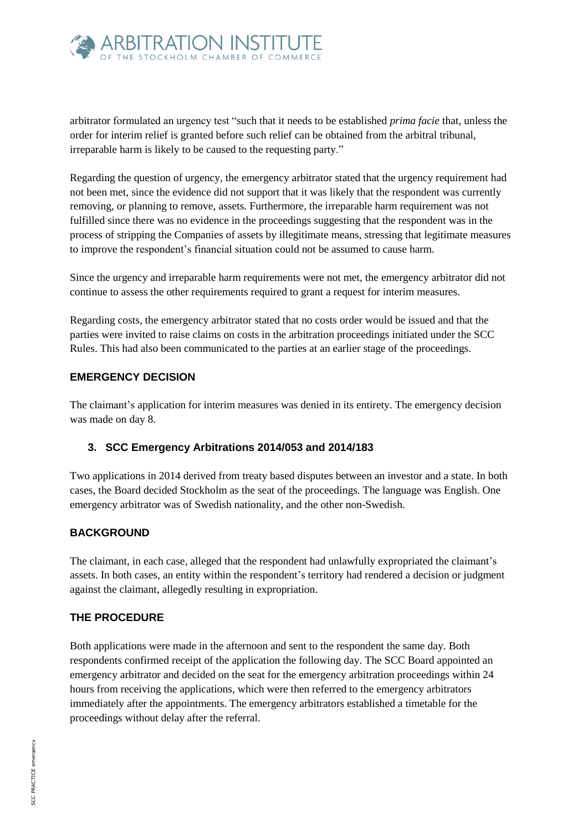

arbitrator formulated an urgency test "such that it needs to be established *prima facie* that, unless the order for interim relief is granted before such relief can be obtained from the arbitral tribunal, irreparable harm is likely to be caused to the requesting party."

Regarding the question of urgency, the emergency arbitrator stated that the urgency requirement had not been met, since the evidence did not support that it was likely that the respondent was currently removing, or planning to remove, assets. Furthermore, the irreparable harm requirement was not fulfilled since there was no evidence in the proceedings suggesting that the respondent was in the process of stripping the Companies of assets by illegitimate means, stressing that legitimate measures to improve the respondent's financial situation could not be assumed to cause harm.

Since the urgency and irreparable harm requirements were not met, the emergency arbitrator did not continue to assess the other requirements required to grant a request for interim measures.

Regarding costs, the emergency arbitrator stated that no costs order would be issued and that the parties were invited to raise claims on costs in the arbitration proceedings initiated under the SCC Rules. This had also been communicated to the parties at an earlier stage of the proceedings.

#### **EMERGENCY DECISION**

The claimant's application for interim measures was denied in its entirety. The emergency decision was made on day 8.

#### **3. SCC Emergency Arbitrations 2014/053 and 2014/183**

Two applications in 2014 derived from treaty based disputes between an investor and a state. In both cases, the Board decided Stockholm as the seat of the proceedings. The language was English. One emergency arbitrator was of Swedish nationality, and the other non-Swedish.

#### **BACKGROUND**

The claimant, in each case, alleged that the respondent had unlawfully expropriated the claimant's assets. In both cases, an entity within the respondent's territory had rendered a decision or judgment against the claimant, allegedly resulting in expropriation.

## **THE PROCEDURE**

Both applications were made in the afternoon and sent to the respondent the same day. Both respondents confirmed receipt of the application the following day. The SCC Board appointed an emergency arbitrator and decided on the seat for the emergency arbitration proceedings within 24 hours from receiving the applications, which were then referred to the emergency arbitrators immediately after the appointments. The emergency arbitrators established a timetable for the proceedings without delay after the referral.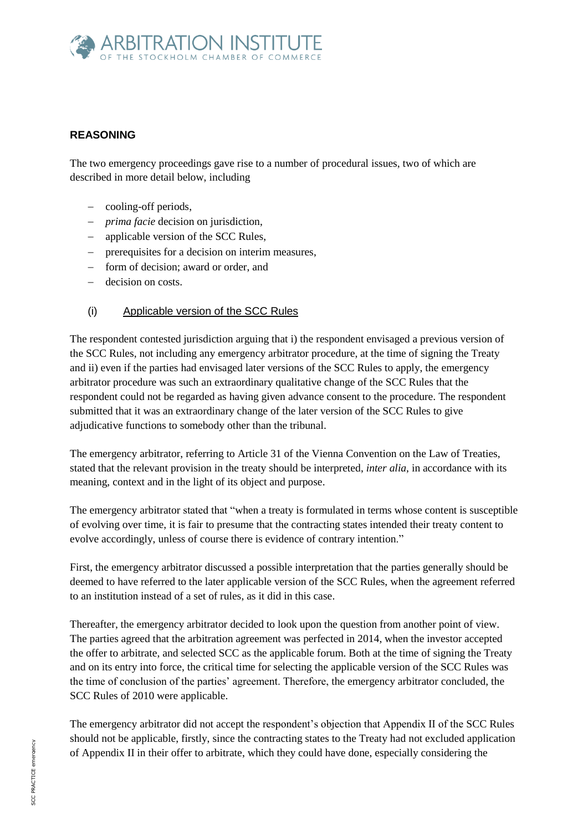

## **REASONING**

The two emergency proceedings gave rise to a number of procedural issues, two of which are described in more detail below, including

- cooling-off periods,
- *prima facie* decision on jurisdiction,
- applicable version of the SCC Rules,
- prerequisites for a decision on interim measures,
- form of decision; award or order, and
- decision on costs.

#### (i) Applicable version of the SCC Rules

The respondent contested jurisdiction arguing that i) the respondent envisaged a previous version of the SCC Rules, not including any emergency arbitrator procedure, at the time of signing the Treaty and ii) even if the parties had envisaged later versions of the SCC Rules to apply, the emergency arbitrator procedure was such an extraordinary qualitative change of the SCC Rules that the respondent could not be regarded as having given advance consent to the procedure. The respondent submitted that it was an extraordinary change of the later version of the SCC Rules to give adjudicative functions to somebody other than the tribunal.

The emergency arbitrator, referring to Article 31 of the Vienna Convention on the Law of Treaties, stated that the relevant provision in the treaty should be interpreted, *inter alia*, in accordance with its meaning, context and in the light of its object and purpose.

The emergency arbitrator stated that "when a treaty is formulated in terms whose content is susceptible of evolving over time, it is fair to presume that the contracting states intended their treaty content to evolve accordingly, unless of course there is evidence of contrary intention."

First, the emergency arbitrator discussed a possible interpretation that the parties generally should be deemed to have referred to the later applicable version of the SCC Rules, when the agreement referred to an institution instead of a set of rules, as it did in this case.

Thereafter, the emergency arbitrator decided to look upon the question from another point of view. The parties agreed that the arbitration agreement was perfected in 2014, when the investor accepted the offer to arbitrate, and selected SCC as the applicable forum. Both at the time of signing the Treaty and on its entry into force, the critical time for selecting the applicable version of the SCC Rules was the time of conclusion of the parties' agreement. Therefore, the emergency arbitrator concluded, the SCC Rules of 2010 were applicable.

The emergency arbitrator did not accept the respondent's objection that Appendix II of the SCC Rules should not be applicable, firstly, since the contracting states to the Treaty had not excluded application of Appendix II in their offer to arbitrate, which they could have done, especially considering the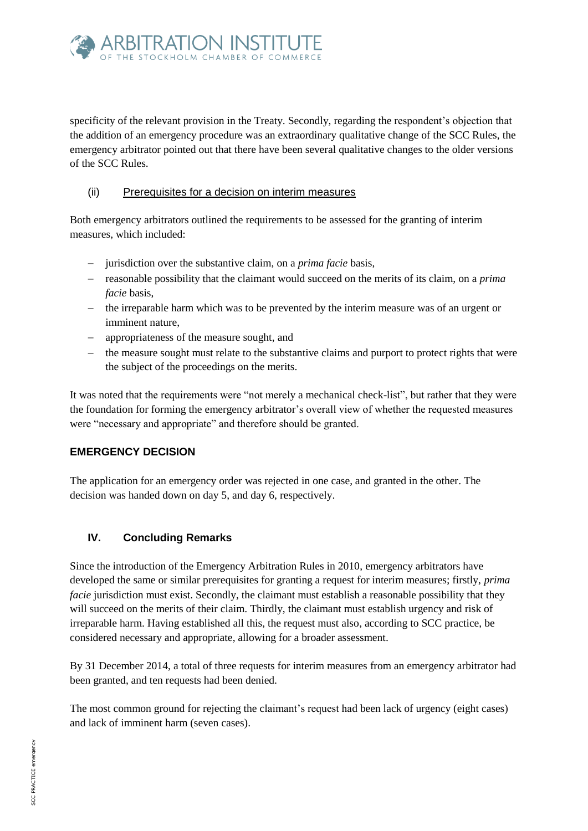

specificity of the relevant provision in the Treaty. Secondly, regarding the respondent's objection that the addition of an emergency procedure was an extraordinary qualitative change of the SCC Rules, the emergency arbitrator pointed out that there have been several qualitative changes to the older versions of the SCC Rules.

#### (ii) Prerequisites for a decision on interim measures

Both emergency arbitrators outlined the requirements to be assessed for the granting of interim measures, which included:

- jurisdiction over the substantive claim, on a *prima facie* basis,
- reasonable possibility that the claimant would succeed on the merits of its claim, on a *prima facie* basis,
- $\epsilon$  the irreparable harm which was to be prevented by the interim measure was of an urgent or imminent nature,
- appropriateness of the measure sought, and
- the measure sought must relate to the substantive claims and purport to protect rights that were the subject of the proceedings on the merits.

It was noted that the requirements were "not merely a mechanical check-list", but rather that they were the foundation for forming the emergency arbitrator's overall view of whether the requested measures were "necessary and appropriate" and therefore should be granted.

#### **EMERGENCY DECISION**

The application for an emergency order was rejected in one case, and granted in the other. The decision was handed down on day 5, and day 6, respectively.

## **IV. Concluding Remarks**

Since the introduction of the Emergency Arbitration Rules in 2010, emergency arbitrators have developed the same or similar prerequisites for granting a request for interim measures; firstly, *prima facie* jurisdiction must exist. Secondly, the claimant must establish a reasonable possibility that they will succeed on the merits of their claim. Thirdly, the claimant must establish urgency and risk of irreparable harm. Having established all this, the request must also, according to SCC practice, be considered necessary and appropriate, allowing for a broader assessment.

By 31 December 2014, a total of three requests for interim measures from an emergency arbitrator had been granted, and ten requests had been denied.

The most common ground for rejecting the claimant's request had been lack of urgency (eight cases) and lack of imminent harm (seven cases).